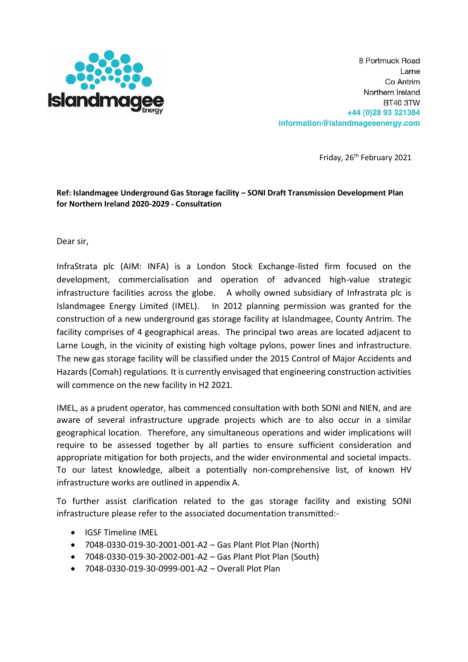

8 Portmuck Road Larne Co Antrim Northern Ireland BT40 3TW +44 (0) 28 93 321384 information@islandmageeenergy.com

Friday, 26<sup>th</sup> February 2021

# **Ref: Islandmagee Underground Gas Storage facility – SONI Draft Transmission Development Plan for Northern Ireland 2020-2029 - Consultation**

Dear sir,

InfraStrata plc (AIM: INFA) is a London Stock Exchange-listed firm focused on the development, commercialisation and operation of advanced high-value strategic infrastructure facilities across the globe. A wholly owned subsidiary of Infrastrata plc is Islandmagee Energy Limited (IMEL). In 2012 planning permission was granted for the construction of a new underground gas storage facility at Islandmagee, County Antrim. The facility comprises of 4 geographical areas. The principal two areas are located adjacent to Larne Lough, in the vicinity of existing high voltage pylons, power lines and infrastructure. The new gas storage facility will be classified under the 2015 Control of Major Accidents and Hazards (Comah) regulations. It is currently envisaged that engineering construction activities will commence on the new facility in H2 2021.

IMEL, as a prudent operator, has commenced consultation with both SONI and NIEN, and are aware of several infrastructure upgrade projects which are to also occur in a similar geographical location. Therefore, any simultaneous operations and wider implications will require to be assessed together by all parties to ensure sufficient consideration and appropriate mitigation for both projects, and the wider environmental and societal impacts. To our latest knowledge, albeit a potentially non-comprehensive list, of known HV infrastructure works are outlined in appendix A.

To further assist clarification related to the gas storage facility and existing SONI infrastructure please refer to the associated documentation transmitted:-

- IGSF Timeline IMEL
- 7048-0330-019-30-2001-001-A2 Gas Plant Plot Plan (North)
- 7048-0330-019-30-2002-001-A2 Gas Plant Plot Plan (South)
- 7048-0330-019-30-0999-001-A2 Overall Plot Plan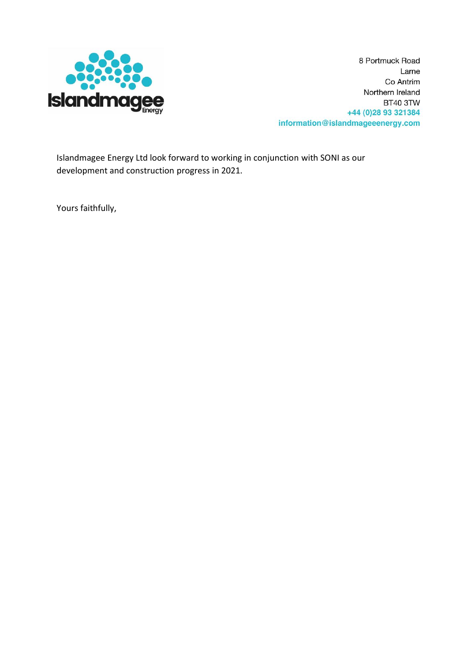

8 Portmuck Road Larne Co Antrim Northern Ireland **BT40 3TW** +44 (0) 28 93 321384 information@islandmageeenergy.com

Islandmagee Energy Ltd look forward to working in conjunction with SONI as our development and construction progress in 2021.

Yours faithfully,